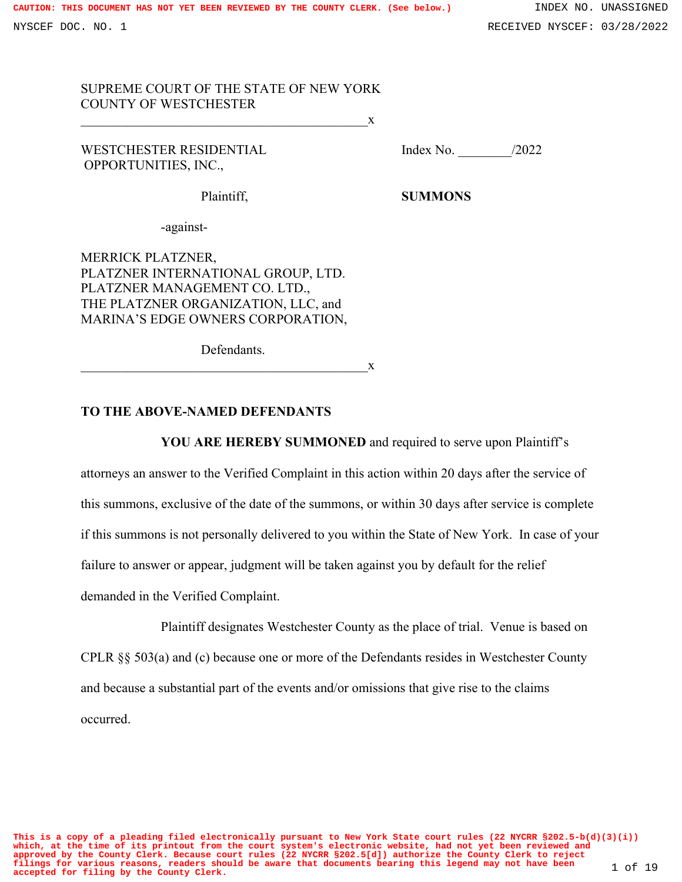# SUPREME COURT OF THE STATE OF NEW YORK COUNTY OF WESTCHESTER  $\overline{\phantom{a}}$  x

WESTCHESTER RESIDENTIAL Index No. 2022 OPPORTUNITIES, INC.,

Plaintiff, **SUMMONS** 

-against-

MERRICK PLATZNER, PLATZNER INTERNATIONAL GROUP, LTD. PLATZNER MANAGEMENT CO. LTD., THE PLATZNER ORGANIZATION, LLC, and MARINA'S EDGE OWNERS CORPORATION,

Defendants.

 $\overline{\mathbf{X}}$ 

## **TO THE ABOVE-NAMED DEFENDANTS**

**YOU ARE HEREBY SUMMONED** and required to serve upon Plaintiff's

attorneys an answer to the Verified Complaint in this action within 20 days after the service of this summons, exclusive of the date of the summons, or within 30 days after service is complete if this summons is not personally delivered to you within the State of New York. In case of your failure to answer or appear, judgment will be taken against you by default for the relief demanded in the Verified Complaint.

Plaintiff designates Westchester County as the place of trial. Venue is based on CPLR §§ 503(a) and (c) because one or more of the Defendants resides in Westchester County and because a substantial part of the events and/or omissions that give rise to the claims occurred.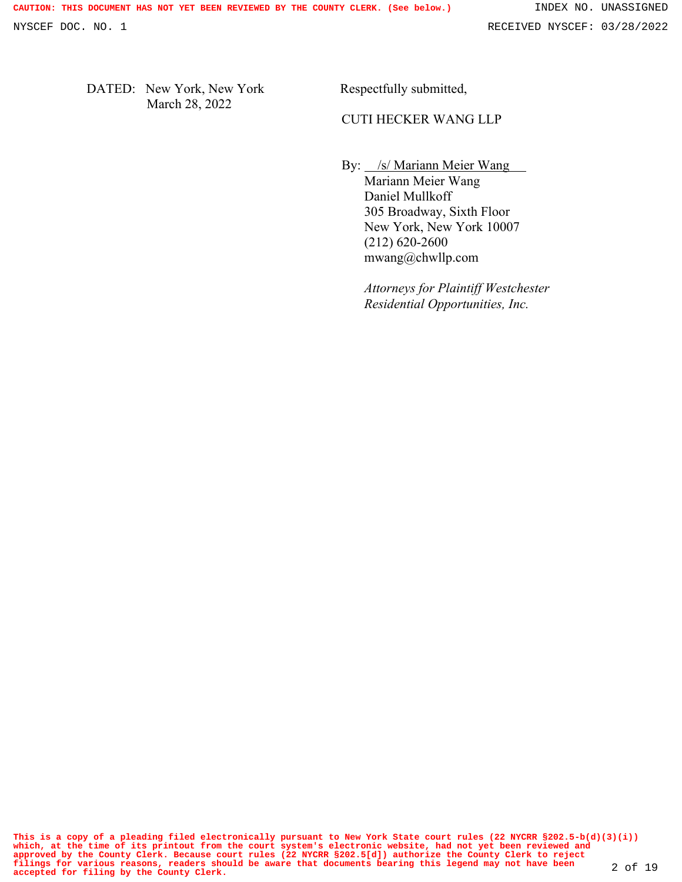DATED: New York, New York March 28, 2022

Respectfully submitted,

## CUTI HECKER WANG LLP

By: /s/ Mariann Meier Wang

Mariann Meier Wang Daniel Mullkoff 305 Broadway, Sixth Floor New York, New York 10007 (212) 620-2600 mwang@chwllp.com

*Attorneys for Plaintiff Westchester Residential Opportunities, Inc.*

**This is a copy of a pleading filed electronically pursuant to New York State court rules (22 NYCRR §202.5-b(d)(3)(i)) which, at the time of its printout from the court system's electronic website, had not yet been reviewed and** approved by the County Clerk. Because court rules (22 NYCRR §202.5[d]) authorize the County Clerk to reject<br>filings for various reasons, readers should be aware that documents bearing this legend may not have been 2 of 19<br>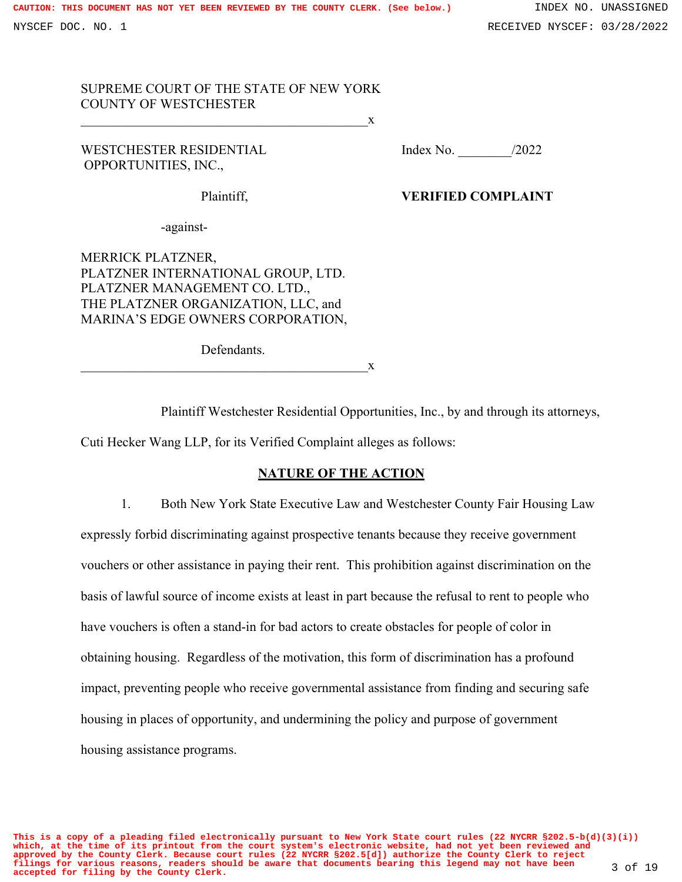# SUPREME COURT OF THE STATE OF NEW YORK COUNTY OF WESTCHESTER  $X$

WESTCHESTER RESIDENTIAL Index No. 2022 OPPORTUNITIES, INC.,

# Plaintiff, **VERIFIED COMPLAINT**

-against-

MERRICK PLATZNER, PLATZNER INTERNATIONAL GROUP, LTD. PLATZNER MANAGEMENT CO. LTD., THE PLATZNER ORGANIZATION, LLC, and MARINA'S EDGE OWNERS CORPORATION,

Defendants.

 $\overline{\phantom{a}}$  x

Plaintiff Westchester Residential Opportunities, Inc., by and through its attorneys, Cuti Hecker Wang LLP, for its Verified Complaint alleges as follows:

# **NATURE OF THE ACTION**

1. Both New York State Executive Law and Westchester County Fair Housing Law expressly forbid discriminating against prospective tenants because they receive government vouchers or other assistance in paying their rent. This prohibition against discrimination on the basis of lawful source of income exists at least in part because the refusal to rent to people who have vouchers is often a stand-in for bad actors to create obstacles for people of color in obtaining housing. Regardless of the motivation, this form of discrimination has a profound impact, preventing people who receive governmental assistance from finding and securing safe housing in places of opportunity, and undermining the policy and purpose of government housing assistance programs.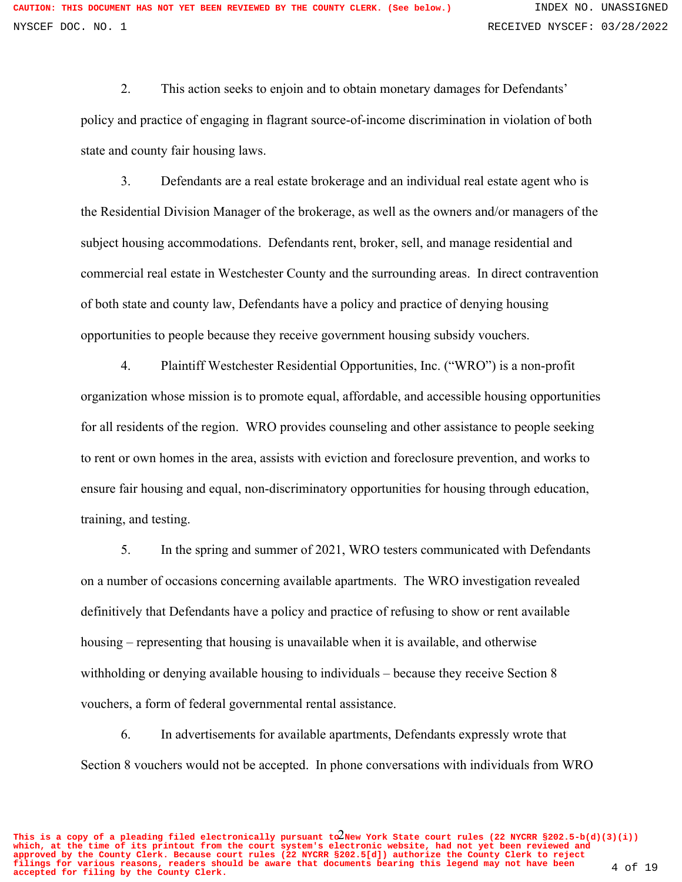2. This action seeks to enjoin and to obtain monetary damages for Defendants' policy and practice of engaging in flagrant source-of-income discrimination in violation of both state and county fair housing laws.

3. Defendants are a real estate brokerage and an individual real estate agent who is the Residential Division Manager of the brokerage, as well as the owners and/or managers of the subject housing accommodations. Defendants rent, broker, sell, and manage residential and commercial real estate in Westchester County and the surrounding areas. In direct contravention of both state and county law, Defendants have a policy and practice of denying housing opportunities to people because they receive government housing subsidy vouchers.

4. Plaintiff Westchester Residential Opportunities, Inc. ("WRO") is a non-profit organization whose mission is to promote equal, affordable, and accessible housing opportunities for all residents of the region. WRO provides counseling and other assistance to people seeking to rent or own homes in the area, assists with eviction and foreclosure prevention, and works to ensure fair housing and equal, non-discriminatory opportunities for housing through education, training, and testing.

5. In the spring and summer of 2021, WRO testers communicated with Defendants on a number of occasions concerning available apartments. The WRO investigation revealed definitively that Defendants have a policy and practice of refusing to show or rent available housing – representing that housing is unavailable when it is available, and otherwise withholding or denying available housing to individuals – because they receive Section 8 vouchers, a form of federal governmental rental assistance.

6. In advertisements for available apartments, Defendants expressly wrote that Section 8 vouchers would not be accepted. In phone conversations with individuals from WRO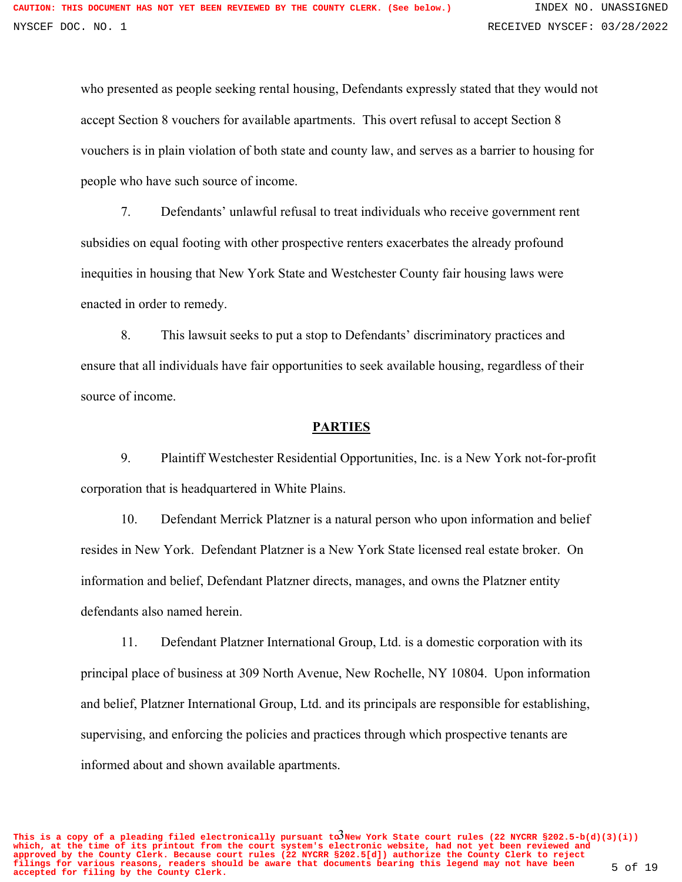who presented as people seeking rental housing, Defendants expressly stated that they would not accept Section 8 vouchers for available apartments. This overt refusal to accept Section 8 vouchers is in plain violation of both state and county law, and serves as a barrier to housing for people who have such source of income.

7. Defendants' unlawful refusal to treat individuals who receive government rent subsidies on equal footing with other prospective renters exacerbates the already profound inequities in housing that New York State and Westchester County fair housing laws were enacted in order to remedy.

8. This lawsuit seeks to put a stop to Defendants' discriminatory practices and ensure that all individuals have fair opportunities to seek available housing, regardless of their source of income.

#### **PARTIES**

9. Plaintiff Westchester Residential Opportunities, Inc. is a New York not-for-profit corporation that is headquartered in White Plains.

10. Defendant Merrick Platzner is a natural person who upon information and belief resides in New York. Defendant Platzner is a New York State licensed real estate broker. On information and belief, Defendant Platzner directs, manages, and owns the Platzner entity defendants also named herein.

11. Defendant Platzner International Group, Ltd. is a domestic corporation with its principal place of business at 309 North Avenue, New Rochelle, NY 10804. Upon information and belief, Platzner International Group, Ltd. and its principals are responsible for establishing, supervising, and enforcing the policies and practices through which prospective tenants are informed about and shown available apartments.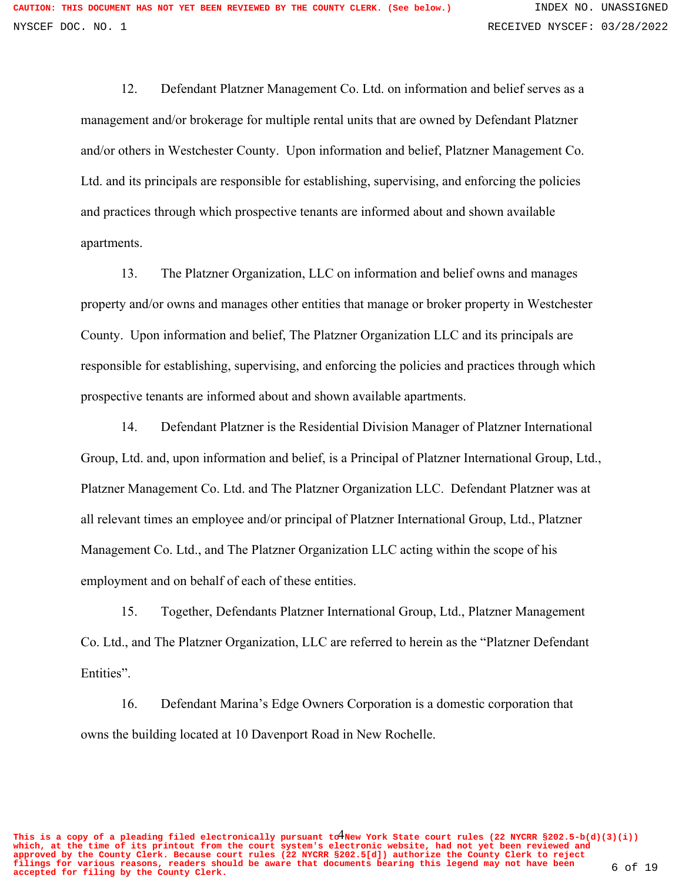12. Defendant Platzner Management Co. Ltd. on information and belief serves as a management and/or brokerage for multiple rental units that are owned by Defendant Platzner and/or others in Westchester County. Upon information and belief, Platzner Management Co. Ltd. and its principals are responsible for establishing, supervising, and enforcing the policies and practices through which prospective tenants are informed about and shown available apartments.

13. The Platzner Organization, LLC on information and belief owns and manages property and/or owns and manages other entities that manage or broker property in Westchester County. Upon information and belief, The Platzner Organization LLC and its principals are responsible for establishing, supervising, and enforcing the policies and practices through which prospective tenants are informed about and shown available apartments.

14. Defendant Platzner is the Residential Division Manager of Platzner International Group, Ltd. and, upon information and belief, is a Principal of Platzner International Group, Ltd., Platzner Management Co. Ltd. and The Platzner Organization LLC. Defendant Platzner was at all relevant times an employee and/or principal of Platzner International Group, Ltd., Platzner Management Co. Ltd., and The Platzner Organization LLC acting within the scope of his employment and on behalf of each of these entities.

15. Together, Defendants Platzner International Group, Ltd., Platzner Management Co. Ltd., and The Platzner Organization, LLC are referred to herein as the "Platzner Defendant Entities".

16. Defendant Marina's Edge Owners Corporation is a domestic corporation that owns the building located at 10 Davenport Road in New Rochelle.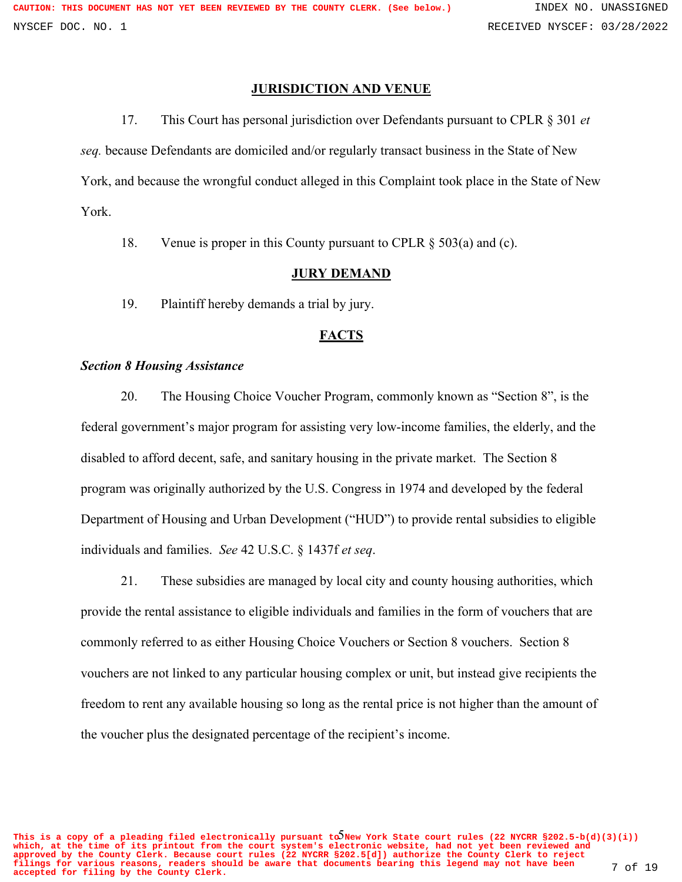## **JURISDICTION AND VENUE**

17. This Court has personal jurisdiction over Defendants pursuant to CPLR § 301 *et seq.* because Defendants are domiciled and/or regularly transact business in the State of New York, and because the wrongful conduct alleged in this Complaint took place in the State of New York.

18. Venue is proper in this County pursuant to CPLR § 503(a) and (c).

#### **JURY DEMAND**

19. Plaintiff hereby demands a trial by jury.

#### **FACTS**

#### *Section 8 Housing Assistance*

20. The Housing Choice Voucher Program, commonly known as "Section 8", is the federal government's major program for assisting very low-income families, the elderly, and the disabled to afford decent, safe, and sanitary housing in the private market. The Section 8 program was originally authorized by the U.S. Congress in 1974 and developed by the federal Department of Housing and Urban Development ("HUD") to provide rental subsidies to eligible individuals and families. *See* 42 U.S.C. § 1437f *et seq*.

21. These subsidies are managed by local city and county housing authorities, which provide the rental assistance to eligible individuals and families in the form of vouchers that are commonly referred to as either Housing Choice Vouchers or Section 8 vouchers. Section 8 vouchers are not linked to any particular housing complex or unit, but instead give recipients the freedom to rent any available housing so long as the rental price is not higher than the amount of the voucher plus the designated percentage of the recipient's income.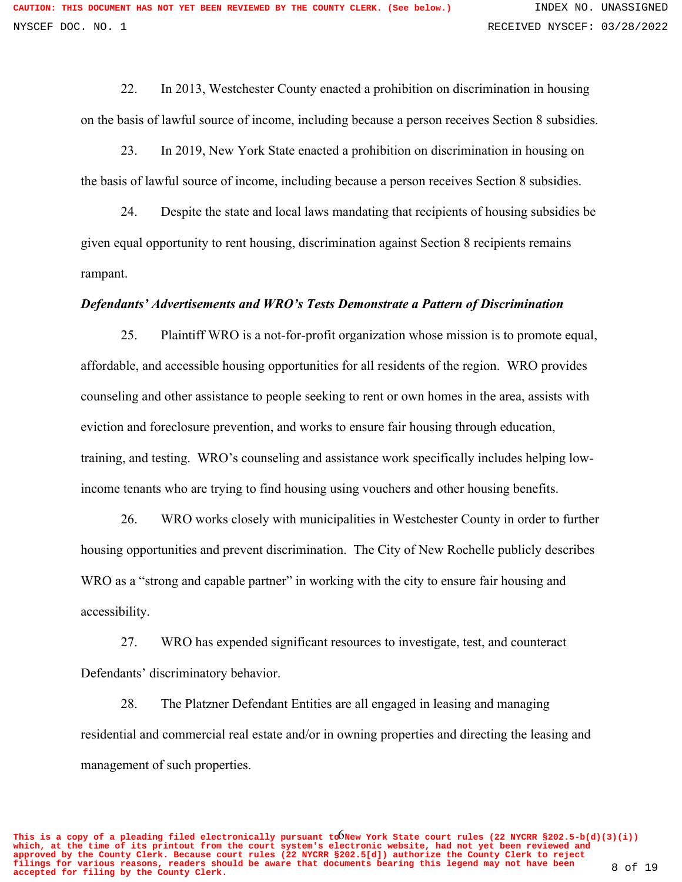22. In 2013, Westchester County enacted a prohibition on discrimination in housing on the basis of lawful source of income, including because a person receives Section 8 subsidies.

23. In 2019, New York State enacted a prohibition on discrimination in housing on the basis of lawful source of income, including because a person receives Section 8 subsidies.

24. Despite the state and local laws mandating that recipients of housing subsidies be given equal opportunity to rent housing, discrimination against Section 8 recipients remains rampant.

#### *Defendants' Advertisements and WRO's Tests Demonstrate a Pattern of Discrimination*

25. Plaintiff WRO is a not-for-profit organization whose mission is to promote equal, affordable, and accessible housing opportunities for all residents of the region. WRO provides counseling and other assistance to people seeking to rent or own homes in the area, assists with eviction and foreclosure prevention, and works to ensure fair housing through education, training, and testing. WRO's counseling and assistance work specifically includes helping lowincome tenants who are trying to find housing using vouchers and other housing benefits.

26. WRO works closely with municipalities in Westchester County in order to further housing opportunities and prevent discrimination. The City of New Rochelle publicly describes WRO as a "strong and capable partner" in working with the city to ensure fair housing and accessibility.

27. WRO has expended significant resources to investigate, test, and counteract Defendants' discriminatory behavior.

28. The Platzner Defendant Entities are all engaged in leasing and managing residential and commercial real estate and/or in owning properties and directing the leasing and management of such properties.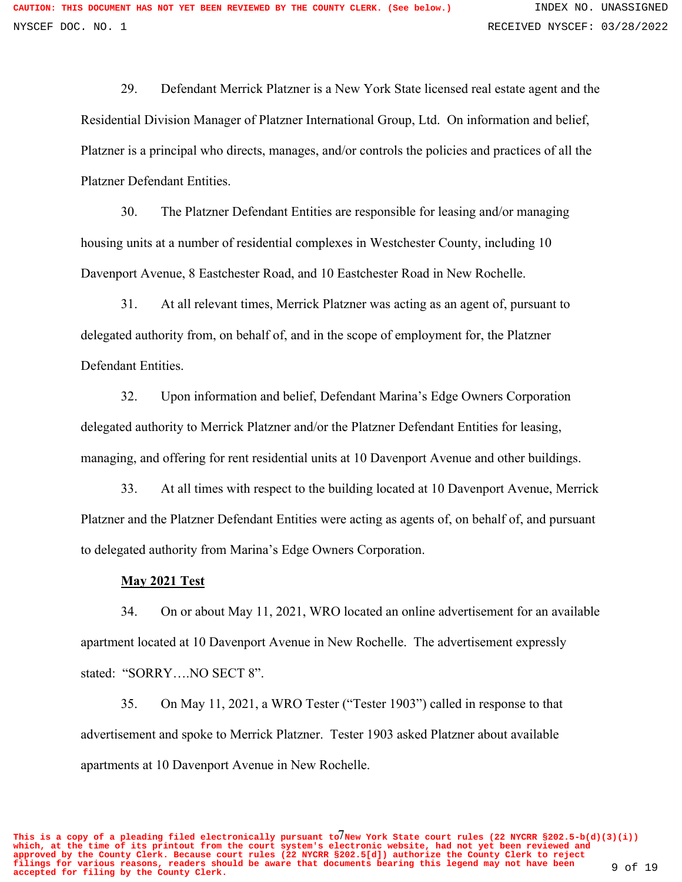29. Defendant Merrick Platzner is a New York State licensed real estate agent and the Residential Division Manager of Platzner International Group, Ltd. On information and belief, Platzner is a principal who directs, manages, and/or controls the policies and practices of all the Platzner Defendant Entities.

30. The Platzner Defendant Entities are responsible for leasing and/or managing housing units at a number of residential complexes in Westchester County, including 10 Davenport Avenue, 8 Eastchester Road, and 10 Eastchester Road in New Rochelle.

31. At all relevant times, Merrick Platzner was acting as an agent of, pursuant to delegated authority from, on behalf of, and in the scope of employment for, the Platzner Defendant Entities.

32. Upon information and belief, Defendant Marina's Edge Owners Corporation delegated authority to Merrick Platzner and/or the Platzner Defendant Entities for leasing, managing, and offering for rent residential units at 10 Davenport Avenue and other buildings.

33. At all times with respect to the building located at 10 Davenport Avenue, Merrick Platzner and the Platzner Defendant Entities were acting as agents of, on behalf of, and pursuant to delegated authority from Marina's Edge Owners Corporation.

## **May 2021 Test**

34. On or about May 11, 2021, WRO located an online advertisement for an available apartment located at 10 Davenport Avenue in New Rochelle. The advertisement expressly stated: "SORRY….NO SECT 8".

35. On May 11, 2021, a WRO Tester ("Tester 1903") called in response to that advertisement and spoke to Merrick Platzner. Tester 1903 asked Platzner about available apartments at 10 Davenport Avenue in New Rochelle.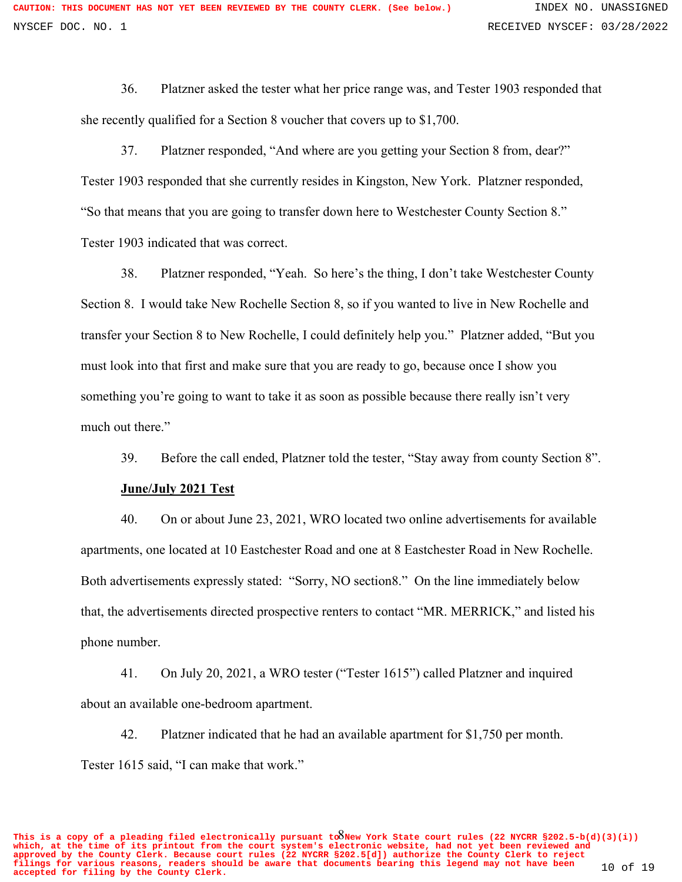36. Platzner asked the tester what her price range was, and Tester 1903 responded that she recently qualified for a Section 8 voucher that covers up to \$1,700.

37. Platzner responded, "And where are you getting your Section 8 from, dear?" Tester 1903 responded that she currently resides in Kingston, New York. Platzner responded, "So that means that you are going to transfer down here to Westchester County Section 8." Tester 1903 indicated that was correct.

38. Platzner responded, "Yeah. So here's the thing, I don't take Westchester County Section 8. I would take New Rochelle Section 8, so if you wanted to live in New Rochelle and transfer your Section 8 to New Rochelle, I could definitely help you." Platzner added, "But you must look into that first and make sure that you are ready to go, because once I show you something you're going to want to take it as soon as possible because there really isn't very much out there."

39. Before the call ended, Platzner told the tester, "Stay away from county Section 8".

#### **June/July 2021 Test**

40. On or about June 23, 2021, WRO located two online advertisements for available apartments, one located at 10 Eastchester Road and one at 8 Eastchester Road in New Rochelle. Both advertisements expressly stated: "Sorry, NO section8." On the line immediately below that, the advertisements directed prospective renters to contact "MR. MERRICK," and listed his phone number.

41. On July 20, 2021, a WRO tester ("Tester 1615") called Platzner and inquired about an available one-bedroom apartment.

42. Platzner indicated that he had an available apartment for \$1,750 per month. Tester 1615 said, "I can make that work."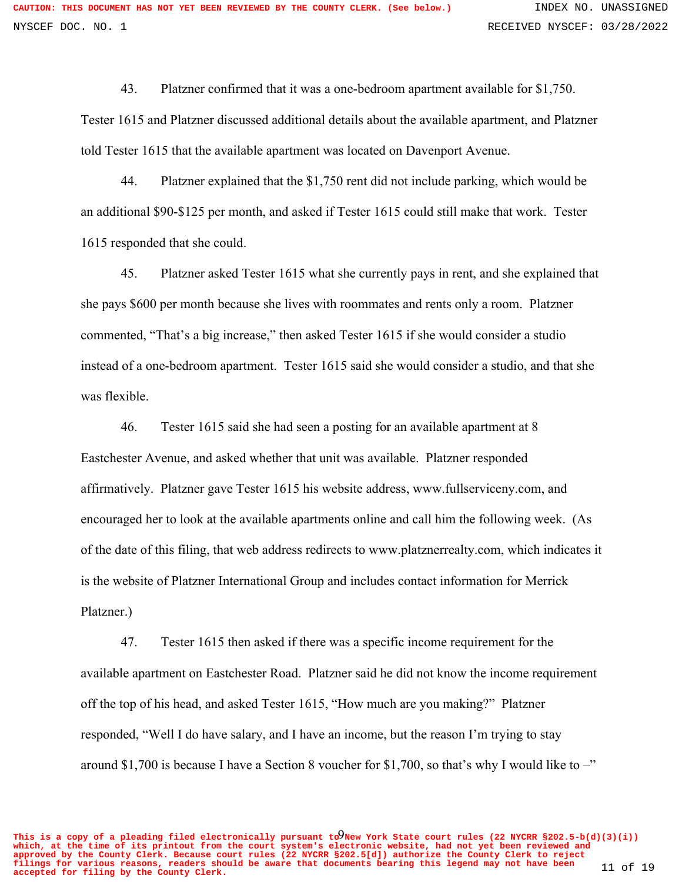43. Platzner confirmed that it was a one-bedroom apartment available for \$1,750. Tester 1615 and Platzner discussed additional details about the available apartment, and Platzner told Tester 1615 that the available apartment was located on Davenport Avenue.

44. Platzner explained that the \$1,750 rent did not include parking, which would be an additional \$90-\$125 per month, and asked if Tester 1615 could still make that work. Tester 1615 responded that she could.

45. Platzner asked Tester 1615 what she currently pays in rent, and she explained that she pays \$600 per month because she lives with roommates and rents only a room. Platzner commented, "That's a big increase," then asked Tester 1615 if she would consider a studio instead of a one-bedroom apartment. Tester 1615 said she would consider a studio, and that she was flexible.

46. Tester 1615 said she had seen a posting for an available apartment at 8 Eastchester Avenue, and asked whether that unit was available. Platzner responded affirmatively. Platzner gave Tester 1615 his website address, www.fullserviceny.com, and encouraged her to look at the available apartments online and call him the following week. (As of the date of this filing, that web address redirects to www.platznerrealty.com, which indicates it is the website of Platzner International Group and includes contact information for Merrick Platzner.)

47. Tester 1615 then asked if there was a specific income requirement for the available apartment on Eastchester Road. Platzner said he did not know the income requirement off the top of his head, and asked Tester 1615, "How much are you making?" Platzner responded, "Well I do have salary, and I have an income, but the reason I'm trying to stay around \$1,700 is because I have a Section 8 voucher for \$1,700, so that's why I would like to  $-$ "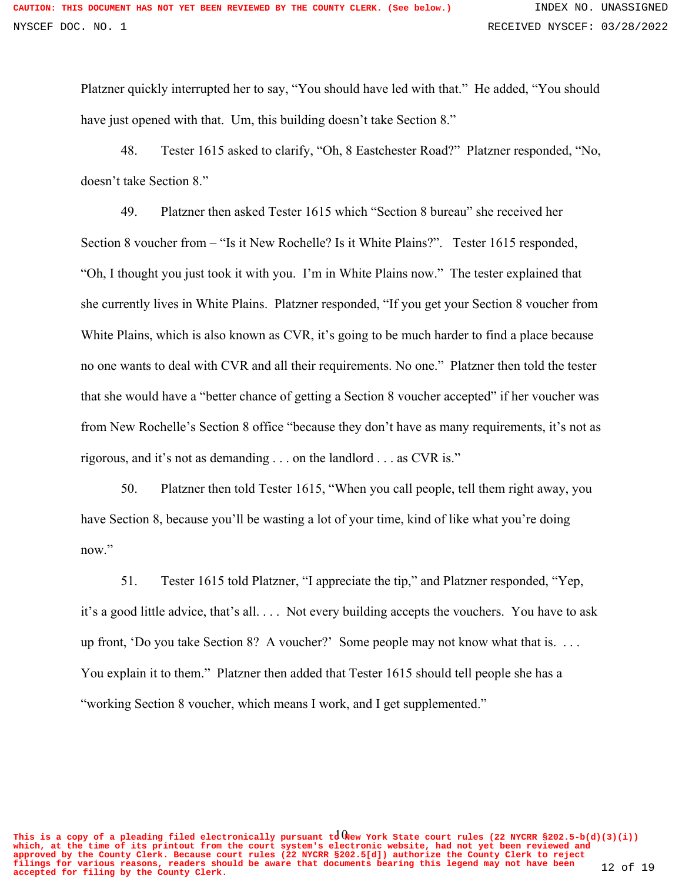Platzner quickly interrupted her to say, "You should have led with that." He added, "You should have just opened with that. Um, this building doesn't take Section 8."

48. Tester 1615 asked to clarify, "Oh, 8 Eastchester Road?" Platzner responded, "No, doesn't take Section 8."

49. Platzner then asked Tester 1615 which "Section 8 bureau" she received her Section 8 voucher from – "Is it New Rochelle? Is it White Plains?". Tester 1615 responded, "Oh, I thought you just took it with you. I'm in White Plains now." The tester explained that she currently lives in White Plains. Platzner responded, "If you get your Section 8 voucher from White Plains, which is also known as CVR, it's going to be much harder to find a place because no one wants to deal with CVR and all their requirements. No one." Platzner then told the tester that she would have a "better chance of getting a Section 8 voucher accepted" if her voucher was from New Rochelle's Section 8 office "because they don't have as many requirements, it's not as rigorous, and it's not as demanding . . . on the landlord . . . as CVR is."

50. Platzner then told Tester 1615, "When you call people, tell them right away, you have Section 8, because you'll be wasting a lot of your time, kind of like what you're doing now."

51. Tester 1615 told Platzner, "I appreciate the tip," and Platzner responded, "Yep, it's a good little advice, that's all. . . . Not every building accepts the vouchers. You have to ask up front, 'Do you take Section 8? A voucher?' Some people may not know what that is. . . . You explain it to them." Platzner then added that Tester 1615 should tell people she has a "working Section 8 voucher, which means I work, and I get supplemented."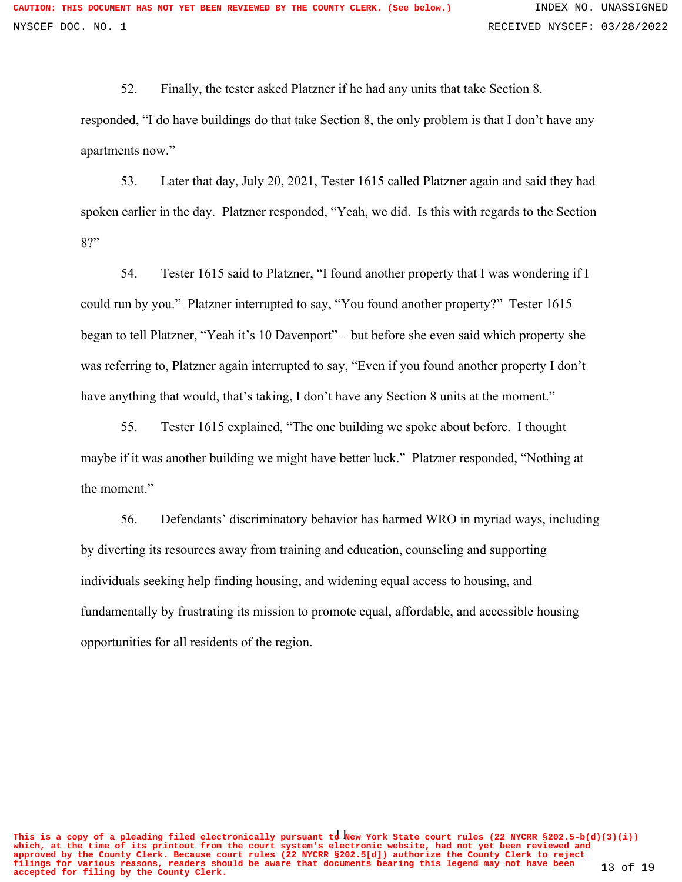52. Finally, the tester asked Platzner if he had any units that take Section 8. responded, "I do have buildings do that take Section 8, the only problem is that I don't have any apartments now."

53. Later that day, July 20, 2021, Tester 1615 called Platzner again and said they had spoken earlier in the day. Platzner responded, "Yeah, we did. Is this with regards to the Section 8?"

54. Tester 1615 said to Platzner, "I found another property that I was wondering if I could run by you." Platzner interrupted to say, "You found another property?" Tester 1615 began to tell Platzner, "Yeah it's 10 Davenport" – but before she even said which property she was referring to, Platzner again interrupted to say, "Even if you found another property I don't have anything that would, that's taking, I don't have any Section 8 units at the moment."

55. Tester 1615 explained, "The one building we spoke about before. I thought maybe if it was another building we might have better luck." Platzner responded, "Nothing at the moment."

56. Defendants' discriminatory behavior has harmed WRO in myriad ways, including by diverting its resources away from training and education, counseling and supporting individuals seeking help finding housing, and widening equal access to housing, and fundamentally by frustrating its mission to promote equal, affordable, and accessible housing opportunities for all residents of the region.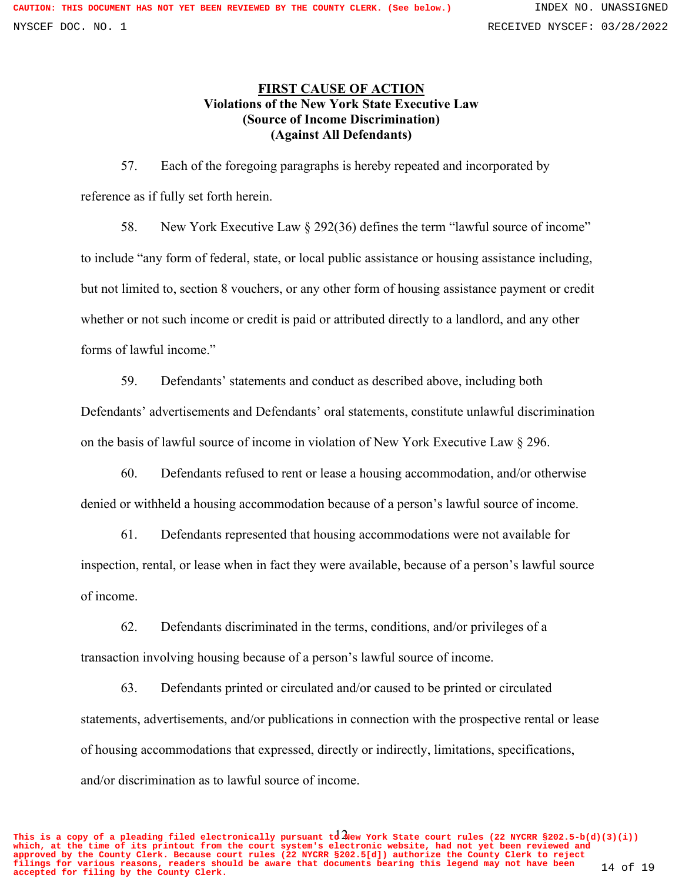# **FIRST CAUSE OF ACTION Violations of the New York State Executive Law (Source of Income Discrimination) (Against All Defendants)**

57. Each of the foregoing paragraphs is hereby repeated and incorporated by reference as if fully set forth herein.

58. New York Executive Law § 292(36) defines the term "lawful source of income" to include "any form of federal, state, or local public assistance or housing assistance including, but not limited to, section 8 vouchers, or any other form of housing assistance payment or credit whether or not such income or credit is paid or attributed directly to a landlord, and any other forms of lawful income."

59. Defendants' statements and conduct as described above, including both Defendants' advertisements and Defendants' oral statements, constitute unlawful discrimination on the basis of lawful source of income in violation of New York Executive Law § 296.

60. Defendants refused to rent or lease a housing accommodation, and/or otherwise denied or withheld a housing accommodation because of a person's lawful source of income.

61. Defendants represented that housing accommodations were not available for inspection, rental, or lease when in fact they were available, because of a person's lawful source of income.

62. Defendants discriminated in the terms, conditions, and/or privileges of a transaction involving housing because of a person's lawful source of income.

63. Defendants printed or circulated and/or caused to be printed or circulated statements, advertisements, and/or publications in connection with the prospective rental or lease of housing accommodations that expressed, directly or indirectly, limitations, specifications, and/or discrimination as to lawful source of income.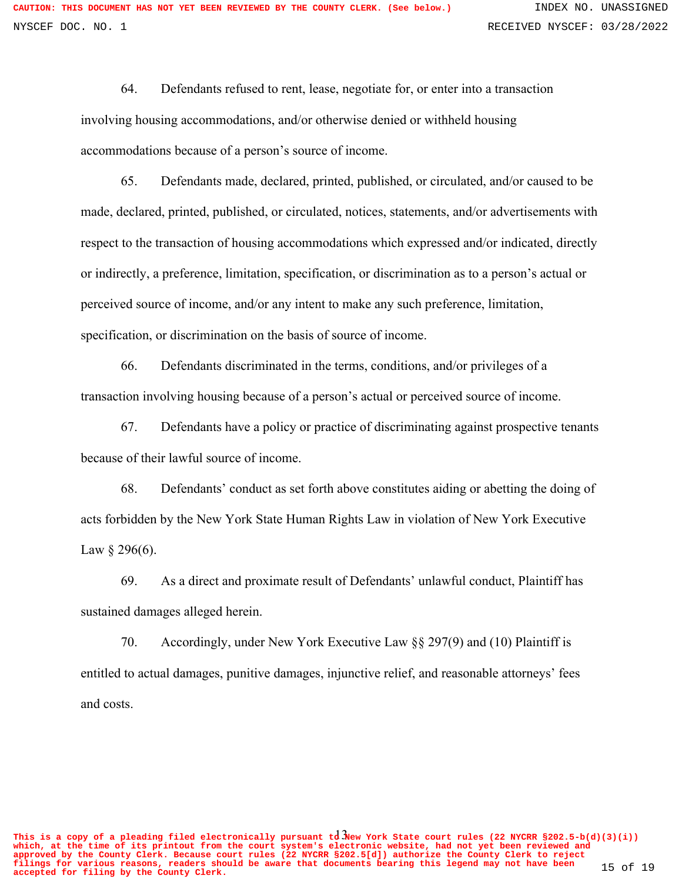64. Defendants refused to rent, lease, negotiate for, or enter into a transaction involving housing accommodations, and/or otherwise denied or withheld housing accommodations because of a person's source of income.

65. Defendants made, declared, printed, published, or circulated, and/or caused to be made, declared, printed, published, or circulated, notices, statements, and/or advertisements with respect to the transaction of housing accommodations which expressed and/or indicated, directly or indirectly, a preference, limitation, specification, or discrimination as to a person's actual or perceived source of income, and/or any intent to make any such preference, limitation, specification, or discrimination on the basis of source of income.

66. Defendants discriminated in the terms, conditions, and/or privileges of a transaction involving housing because of a person's actual or perceived source of income.

67. Defendants have a policy or practice of discriminating against prospective tenants because of their lawful source of income.

68. Defendants' conduct as set forth above constitutes aiding or abetting the doing of acts forbidden by the New York State Human Rights Law in violation of New York Executive Law  $\S 296(6)$ .

69. As a direct and proximate result of Defendants' unlawful conduct, Plaintiff has sustained damages alleged herein.

70. Accordingly, under New York Executive Law §§ 297(9) and (10) Plaintiff is entitled to actual damages, punitive damages, injunctive relief, and reasonable attorneys' fees and costs.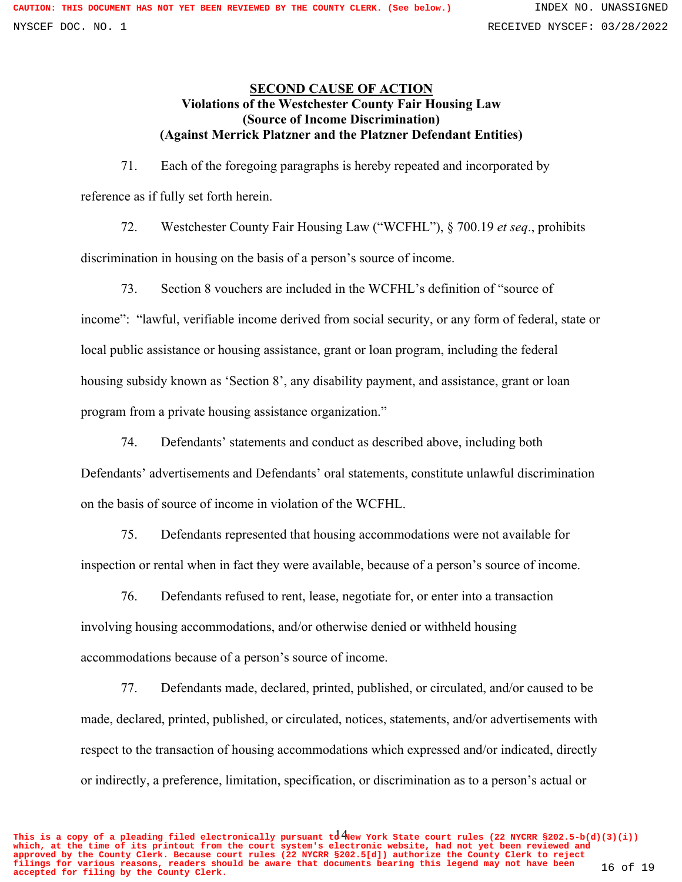# **SECOND CAUSE OF ACTION Violations of the Westchester County Fair Housing Law (Source of Income Discrimination) (Against Merrick Platzner and the Platzner Defendant Entities)**

71. Each of the foregoing paragraphs is hereby repeated and incorporated by reference as if fully set forth herein.

72. Westchester County Fair Housing Law ("WCFHL"), § 700.19 *et seq*., prohibits discrimination in housing on the basis of a person's source of income.

73. Section 8 vouchers are included in the WCFHL's definition of "source of income": "lawful, verifiable income derived from social security, or any form of federal, state or local public assistance or housing assistance, grant or loan program, including the federal housing subsidy known as 'Section 8', any disability payment, and assistance, grant or loan program from a private housing assistance organization."

74. Defendants' statements and conduct as described above, including both Defendants' advertisements and Defendants' oral statements, constitute unlawful discrimination on the basis of source of income in violation of the WCFHL.

75. Defendants represented that housing accommodations were not available for inspection or rental when in fact they were available, because of a person's source of income.

76. Defendants refused to rent, lease, negotiate for, or enter into a transaction involving housing accommodations, and/or otherwise denied or withheld housing accommodations because of a person's source of income.

77. Defendants made, declared, printed, published, or circulated, and/or caused to be made, declared, printed, published, or circulated, notices, statements, and/or advertisements with respect to the transaction of housing accommodations which expressed and/or indicated, directly or indirectly, a preference, limitation, specification, or discrimination as to a person's actual or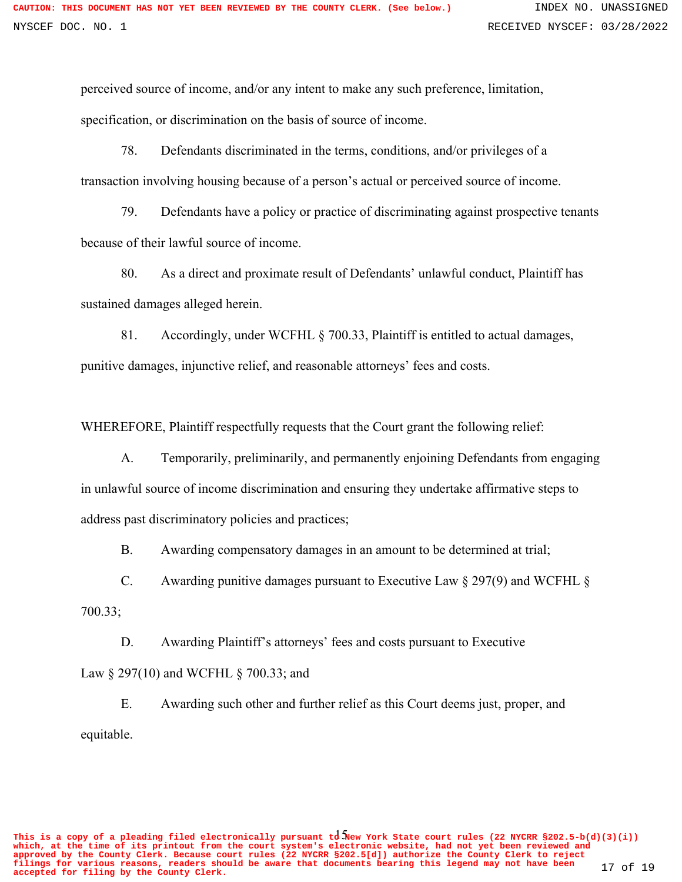perceived source of income, and/or any intent to make any such preference, limitation, specification, or discrimination on the basis of source of income.

78. Defendants discriminated in the terms, conditions, and/or privileges of a transaction involving housing because of a person's actual or perceived source of income.

79. Defendants have a policy or practice of discriminating against prospective tenants because of their lawful source of income.

80. As a direct and proximate result of Defendants' unlawful conduct, Plaintiff has sustained damages alleged herein.

81. Accordingly, under WCFHL § 700.33, Plaintiff is entitled to actual damages, punitive damages, injunctive relief, and reasonable attorneys' fees and costs.

WHEREFORE, Plaintiff respectfully requests that the Court grant the following relief:

A. Temporarily, preliminarily, and permanently enjoining Defendants from engaging in unlawful source of income discrimination and ensuring they undertake affirmative steps to address past discriminatory policies and practices;

B. Awarding compensatory damages in an amount to be determined at trial;

C. Awarding punitive damages pursuant to Executive Law § 297(9) and WCFHL §

700.33;

D. Awarding Plaintiff's attorneys' fees and costs pursuant to Executive

Law § 297(10) and WCFHL § 700.33; and

E. Awarding such other and further relief as this Court deems just, proper, and equitable.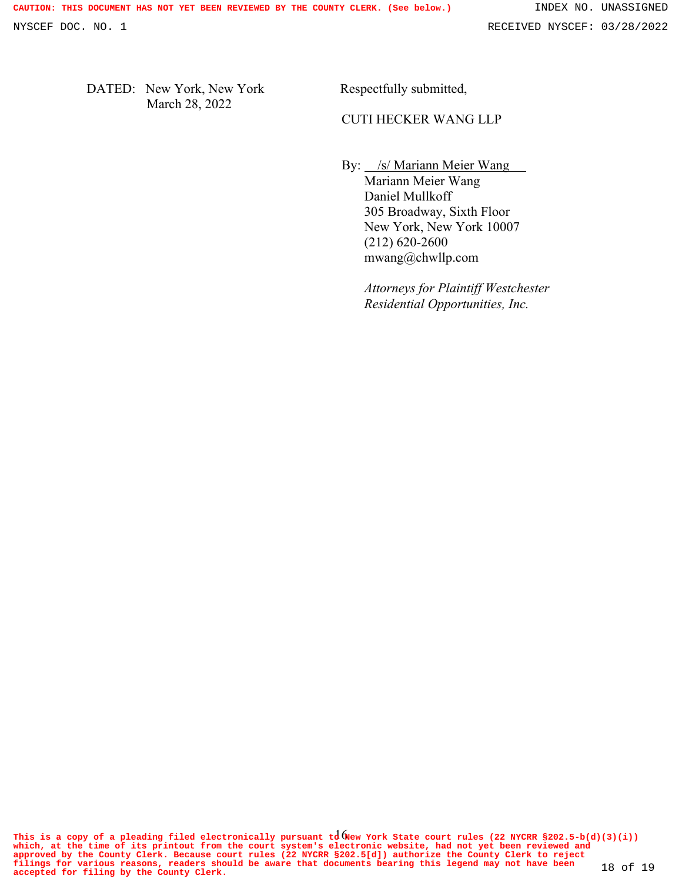DATED: New York, New York March 28, 2022

Respectfully submitted,

## CUTI HECKER WANG LLP

By: /s/ Mariann Meier Wang

Mariann Meier Wang Daniel Mullkoff 305 Broadway, Sixth Floor New York, New York 10007 (212) 620-2600 mwang@chwllp.com

*Attorneys for Plaintiff Westchester Residential Opportunities, Inc.*

This is a copy of a pleading filed electronically pursuant  ${\rm td}$  (New York State court rules (22 NYCRR §202.5-b(d)(3)(i)) **which, at the time of its printout from the court system's electronic website, had not yet been reviewed and** approved by the County Clerk. Because court rules (22 NYCRR §202.5[d]) authorize the County Clerk to reject<br>filings for various reasons, readers should be aware that documents bearing this legend may not have been 18 of 19